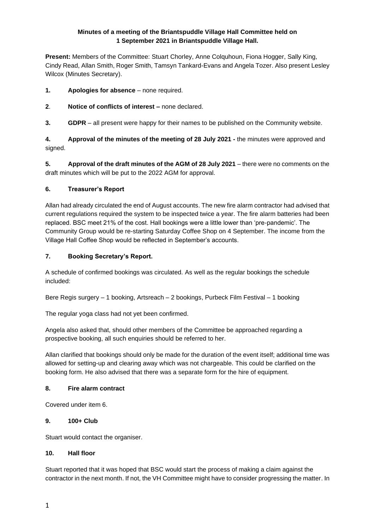## **Minutes of a meeting of the Briantspuddle Village Hall Committee held on 1 September 2021 in Briantspuddle Village Hall.**

**Present:** Members of the Committee: Stuart Chorley, Anne Colquhoun, Fiona Hogger, Sally King, Cindy Read, Allan Smith, Roger Smith, Tamsyn Tankard-Evans and Angela Tozer. Also present Lesley Wilcox (Minutes Secretary).

- **1. Apologies for absence** none required.
- **2**. **Notice of conflicts of interest –** none declared.

**3. GDPR** – all present were happy for their names to be published on the Community website.

**4. Approval of the minutes of the meeting of 28 July 2021 -** the minutes were approved and signed.

**5. Approval of the draft minutes of the AGM of 28 July 2021** – there were no comments on the draft minutes which will be put to the 2022 AGM for approval.

#### **6. Treasurer's Report**

Allan had already circulated the end of August accounts. The new fire alarm contractor had advised that current regulations required the system to be inspected twice a year. The fire alarm batteries had been replaced. BSC meet 21% of the cost. Hall bookings were a little lower than 'pre-pandemic'. The Community Group would be re-starting Saturday Coffee Shop on 4 September. The income from the Village Hall Coffee Shop would be reflected in September's accounts.

### **7. Booking Secretary's Report.**

A schedule of confirmed bookings was circulated. As well as the regular bookings the schedule included:

Bere Regis surgery – 1 booking, Artsreach – 2 bookings, Purbeck Film Festival – 1 booking

The regular yoga class had not yet been confirmed.

Angela also asked that, should other members of the Committee be approached regarding a prospective booking, all such enquiries should be referred to her.

Allan clarified that bookings should only be made for the duration of the event itself; additional time was allowed for setting-up and clearing away which was not chargeable. This could be clarified on the booking form. He also advised that there was a separate form for the hire of equipment.

#### **8. Fire alarm contract**

Covered under item 6.

#### **9. 100+ Club**

Stuart would contact the organiser.

#### **10. Hall floor**

Stuart reported that it was hoped that BSC would start the process of making a claim against the contractor in the next month. If not, the VH Committee might have to consider progressing the matter. In